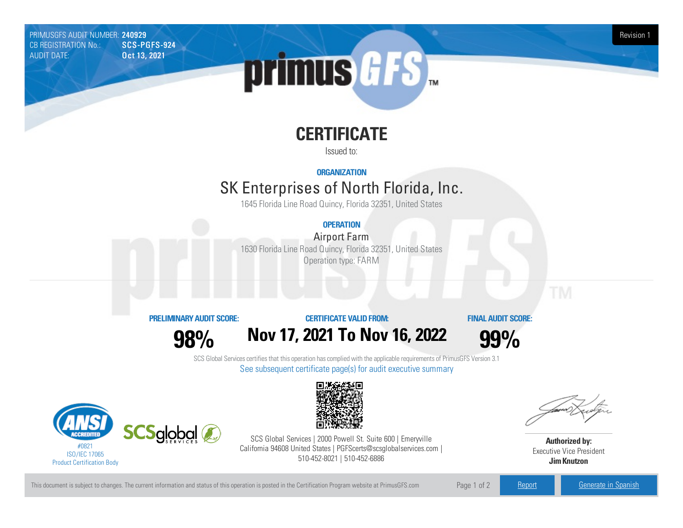PRIMUSGFS AUDIT NUMBER: 240929 Revision 1<br>CB REGISTRATION No.: SCS-PGFS-924 Revision 1 CB REGISTRATION No.: AUDIT DATE: **Oct 13, 2021** 



# **CERTIFICATE**

Issued to:

**ORGANIZATION**

## SK Enterprises of North Florida, Inc.

1645 Florida Line Road Quincy, Florida 32351, United States

### **OPERATION**

**Airport Farm** 1630 Florida Line Road Quincy, Florida 32351, United States Operation type: FARM

#### **PRELIMINARYAUDIT SCORE:**

**98%**

### **CERTIFICATE VALIDFROM: Nov17, 2021 To Nov16, 2022**

**FINAL AUDIT SCORE:**

**99%**

SCS Global Services certifies that this operation has complied with the applicable requirements of PrimusGFS Version 3.1 See subsequent certificate page(s) for audit executive summary





SCS Global Services | 2000 Powell St. Suite 600 | Emeryville California 94608 United States | PGFScerts@scsglobalservices.com | 510-452-8021 | 510-452-6886



**Authorized by:** Executive Vice President **JimKnutzon**

This document is subject to changes. The current information and status of this operation is posted in the Certification Program website at PrimusGFS.com Page 1 of 2 [Report](https://secure.azzule.com/PGFSDocuments/PGFS_AuditReport240929_6933_1_EN.pdf) [Generate](https://secure.azzule.com/PrimusGFSAudits/pdfGenerator.aspx?AuditHeaderID=54521825866577415825113123650865037445413&AppId=23044015144&LanguageID=1&UserId=1) in Spanish